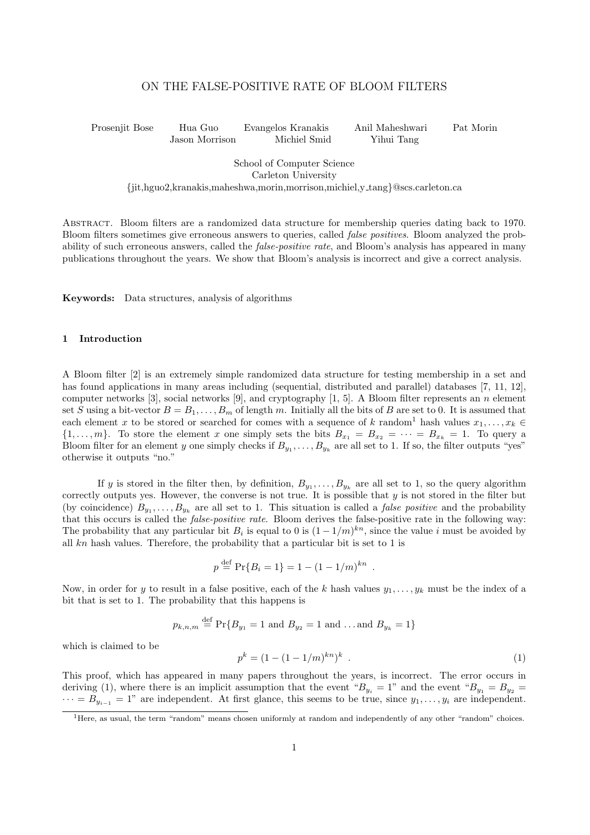# ON THE FALSE-POSITIVE RATE OF BLOOM FILTERS

Prosenjit Bose Hua Guo Evangelos Kranakis Anil Maheshwari Pat Morin Jason Morrison Michiel Smid Yihui Tang

School of Computer Science Carleton University {jit,hguo2,kranakis,maheshwa,morin,morrison,michiel,y tang}@scs.carleton.ca

Abstract. Bloom filters are a randomized data structure for membership queries dating back to 1970. Bloom filters sometimes give erroneous answers to queries, called false positives. Bloom analyzed the probability of such erroneous answers, called the *false-positive rate*, and Bloom's analysis has appeared in many publications throughout the years. We show that Bloom's analysis is incorrect and give a correct analysis.

Keywords: Data structures, analysis of algorithms

#### 1 Introduction

A Bloom filter [2] is an extremely simple randomized data structure for testing membership in a set and has found applications in many areas including (sequential, distributed and parallel) databases [7, 11, 12], computer networks [3], social networks [9], and cryptography [1, 5]. A Bloom filter represents an n element set S using a bit-vector  $B = B_1, \ldots, B_m$  of length m. Initially all the bits of B are set to 0. It is assumed that each element x to be stored or searched for comes with a sequence of k random<sup>1</sup> hash values  $x_1, \ldots, x_k \in$  $\{1,\ldots,m\}$ . To store the element x one simply sets the bits  $B_{x_1} = B_{x_2} = \cdots = B_{x_k} = 1$ . To query a Bloom filter for an element y one simply checks if  $B_{y_1}, \ldots, B_{y_k}$  are all set to 1. If so, the filter outputs "yes" otherwise it outputs "no."

If y is stored in the filter then, by definition,  $B_{y_1}, \ldots, B_{y_k}$  are all set to 1, so the query algorithm correctly outputs yes. However, the converse is not true. It is possible that  $y$  is not stored in the filter but (by coincidence)  $B_{y_1}, \ldots, B_{y_k}$  are all set to 1. This situation is called a *false positive* and the probability that this occurs is called the *false-positive rate*. Bloom derives the false-positive rate in the following way: The probability that any particular bit  $B_i$  is equal to 0 is  $(1-1/m)^{kn}$ , since the value i must be avoided by all  $kn$  hash values. Therefore, the probability that a particular bit is set to 1 is

$$
p \stackrel{\text{def}}{=} \Pr\{B_i = 1\} = 1 - (1 - 1/m)^{kn}.
$$

Now, in order for y to result in a false positive, each of the k hash values  $y_1, \ldots, y_k$  must be the index of a bit that is set to 1. The probability that this happens is

 $p_{k,n,m} \stackrel{\text{def}}{=} \Pr\{B_{y_1} = 1 \text{ and } B_{y_2} = 1 \text{ and } ... \text{ and } B_{y_k} = 1\}$ 

which is claimed to be

$$
p^k = (1 - (1 - 1/m)^{kn})^k \tag{1}
$$

This proof, which has appeared in many papers throughout the years, is incorrect. The error occurs in deriving (1), where there is an implicit assumption that the event " $B_{y_i} = 1$ " and the event " $B_{y_1} = B_{y_2}$  $\cdots = B_{y_{i-1}} = 1$ " are independent. At first glance, this seems to be true, since  $y_1, \ldots, y_i$  are independent.

<sup>&</sup>lt;sup>1</sup>Here, as usual, the term "random" means chosen uniformly at random and independently of any other "random" choices.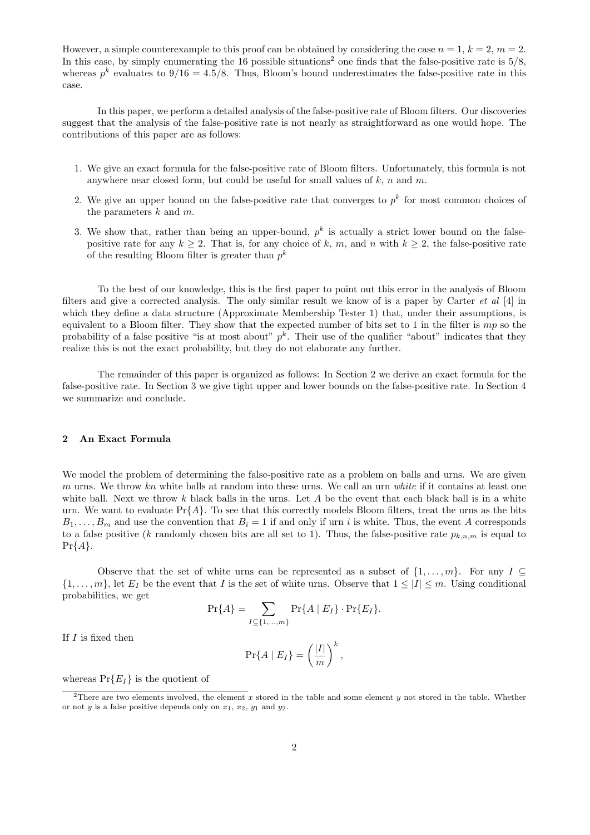However, a simple counterexample to this proof can be obtained by considering the case  $n = 1, k = 2, m = 2$ . In this case, by simply enumerating the 16 possible situations<sup>2</sup> one finds that the false-positive rate is  $5/8$ , whereas  $p^k$  evaluates to  $9/16 = 4.5/8$ . Thus, Bloom's bound underestimates the false-positive rate in this case.

In this paper, we perform a detailed analysis of the false-positive rate of Bloom filters. Our discoveries suggest that the analysis of the false-positive rate is not nearly as straightforward as one would hope. The contributions of this paper are as follows:

- 1. We give an exact formula for the false-positive rate of Bloom filters. Unfortunately, this formula is not anywhere near closed form, but could be useful for small values of  $k, n$  and  $m$ .
- 2. We give an upper bound on the false-positive rate that converges to  $p^k$  for most common choices of the parameters  $k$  and  $m$ .
- 3. We show that, rather than being an upper-bound,  $p^k$  is actually a strict lower bound on the falsepositive rate for any  $k \geq 2$ . That is, for any choice of k, m, and n with  $k \geq 2$ , the false-positive rate of the resulting Bloom filter is greater than  $p^k$

To the best of our knowledge, this is the first paper to point out this error in the analysis of Bloom filters and give a corrected analysis. The only similar result we know of is a paper by Carter  $et \ al \ [4]$  in which they define a data structure (Approximate Membership Tester 1) that, under their assumptions, is equivalent to a Bloom filter. They show that the expected number of bits set to 1 in the filter is  $mp$  so the probability of a false positive "is at most about"  $p^k$ . Their use of the qualifier "about" indicates that they realize this is not the exact probability, but they do not elaborate any further.

The remainder of this paper is organized as follows: In Section 2 we derive an exact formula for the false-positive rate. In Section 3 we give tight upper and lower bounds on the false-positive rate. In Section 4 we summarize and conclude.

#### 2 An Exact Formula

We model the problem of determining the false-positive rate as a problem on balls and urns. We are given m urns. We throw  $kn$  white balls at random into these urns. We call an urn white if it contains at least one white ball. Next we throw  $k$  black balls in the urns. Let  $A$  be the event that each black ball is in a white urn. We want to evaluate  $Pr{A}$ . To see that this correctly models Bloom filters, treat the urns as the bits  $B_1, \ldots, B_m$  and use the convention that  $B_i = 1$  if and only if urn i is white. Thus, the event A corresponds to a false positive (k randomly chosen bits are all set to 1). Thus, the false-positive rate  $p_{k,n,m}$  is equal to  $Pr{A}.$ 

Observe that the set of white urns can be represented as a subset of  $\{1, \ldots, m\}$ . For any  $I \subseteq$  $\{1,\ldots,m\}$ , let  $E_I$  be the event that I is the set of white urns. Observe that  $1 \leq |I| \leq m$ . Using conditional probabilities, we get

$$
\Pr\{A\} = \sum_{I \subseteq \{1,\dots,m\}} \Pr\{A \mid E_I\} \cdot \Pr\{E_I\}.
$$

If  $I$  is fixed then

$$
\Pr\{A \mid E_I\} = \left(\frac{|I|}{m}\right)^k,
$$

whereas  $Pr{E_I}$  is the quotient of

<sup>&</sup>lt;sup>2</sup>There are two elements involved, the element x stored in the table and some element y not stored in the table. Whether or not  $y$  is a false positive depends only on  $x_1, x_2, y_1$  and  $y_2$ .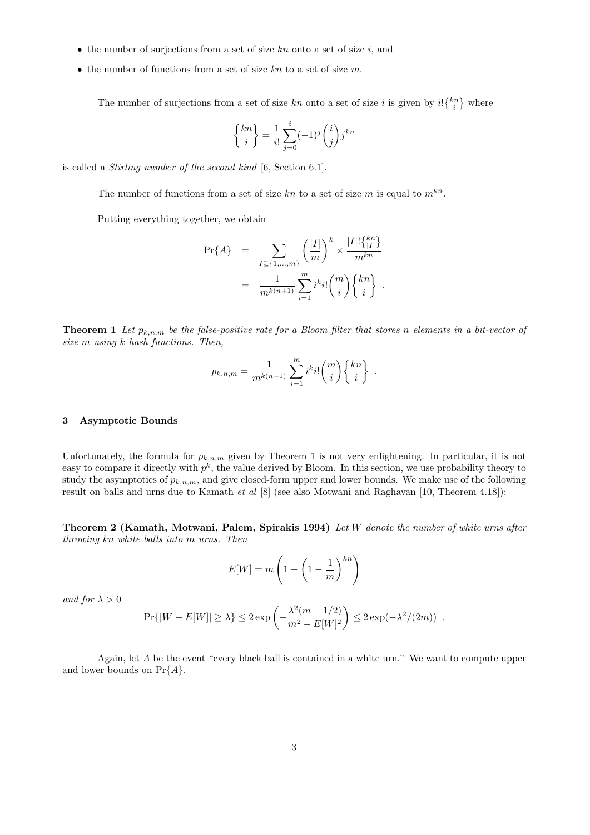- the number of surjections from a set of size  $kn$  onto a set of size i, and
- the number of functions from a set of size  $kn$  to a set of size m.

The number of surjections from a set of size kn onto a set of size i is given by  $i! \{k_i^n\}$  where

$$
\begin{Bmatrix} kn \\ i \end{Bmatrix} = \frac{1}{i!} \sum_{j=0}^{i} (-1)^j \binom{i}{j} j^{kn}
$$

is called a Stirling number of the second kind [6, Section 6.1].

The number of functions from a set of size kn to a set of size m is equal to  $m^{kn}$ .

Putting everything together, we obtain

$$
\Pr{A} = \sum_{I \subseteq \{1, ..., m\}} \left(\frac{|I|}{m}\right)^k \times \frac{|I|! \{^{kn}_{|I|}\}}{m^{kn}} = \frac{1}{m^{k(n+1)}} \sum_{i=1}^m i^k i! {m \choose i} \{^{kn}_{i}\}.
$$

kn

**Theorem 1** Let  $p_{k,n,m}$  be the false-positive rate for a Bloom filter that stores n elements in a bit-vector of size m using k hash functions. Then,

$$
p_{k,n,m} = \frac{1}{m^{k(n+1)}} \sum_{i=1}^{m} i^{k} i! {m \choose i} {kn \brace i}.
$$

## 3 Asymptotic Bounds

Unfortunately, the formula for  $p_{k,n,m}$  given by Theorem 1 is not very enlightening. In particular, it is not easy to compare it directly with  $p^k$ , the value derived by Bloom. In this section, we use probability theory to study the asymptotics of  $p_{k,n,m}$ , and give closed-form upper and lower bounds. We make use of the following result on balls and urns due to Kamath et al  $[8]$  (see also Motwani and Raghavan [10, Theorem 4.18]):

Theorem 2 (Kamath, Motwani, Palem, Spirakis 1994) Let W denote the number of white urns after throwing kn white balls into m urns. Then

$$
E[W] = m \left( 1 - \left( 1 - \frac{1}{m} \right)^{kn} \right)
$$

and for  $\lambda > 0$ 

$$
\Pr\{|W - E[W]| \ge \lambda\} \le 2 \exp\left(-\frac{\lambda^2 (m - 1/2)}{m^2 - E[W]^2}\right) \le 2 \exp(-\lambda^2/(2m)) \enspace .
$$

Again, let A be the event "every black ball is contained in a white urn." We want to compute upper and lower bounds on  $Pr{A}$ .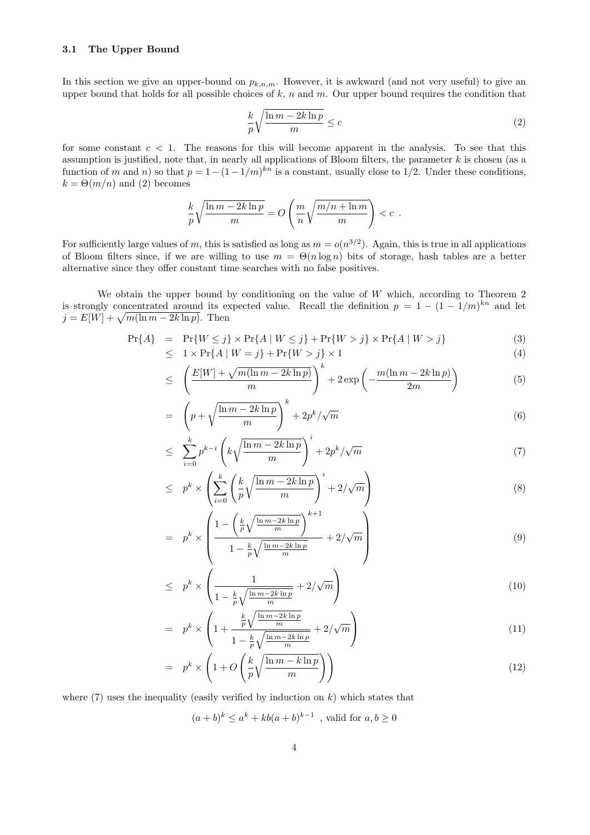## 3.1 The Upper Bound

In this section we give an upper-bound on  $p_{k,n,m}$ . However, it is awkward (and not very useful) to give an upper bound that holds for all possible choices of  $k$ , n and m. Our upper bound requires the condition that

$$
\frac{k}{p}\sqrt{\frac{\ln m - 2k\ln p}{m}} \le c\tag{2}
$$

for some constant  $c < 1$ . The reasons for this will become apparent in the analysis. To see that this assumption is justified, note that, in nearly all applications of Bloom filters, the parameter  $k$  is chosen (as a function of m and n) so that  $p = 1 - (1 - 1/m)^{kn}$  is a constant, usually close to 1/2. Under these conditions,  $k = \Theta(m/n)$  and (2) becomes

$$
\frac{k}{p}\sqrt{\frac{\ln m - 2k\ln p}{m}} = O\left(\frac{m}{n}\sqrt{\frac{m/n + \ln m}{m}}\right) < c.
$$

For sufficiently large values of m, this is satisfied as long as  $m = o(n^{3/2})$ . Again, this is true in all applications of Bloom filters since, if we are willing to use  $m = \Theta(n \log n)$  bits of storage, hash tables are a better alternative since they offer constant time searches with no false positives.

We obtain the upper bound by conditioning on the value of  $W$  which, according to Theorem 2 is strongly concentrated around its expected value. Recall the definition  $p = 1 - (1 - 1/m)^{kn}$  and let  $j = E[W] + \sqrt{m(\ln m - 2k \ln p)}$ . Then

$$
\Pr\{A\} = \Pr\{W \le j\} \times \Pr\{A \mid W \le j\} + \Pr\{W > j\} \times \Pr\{A \mid W > j\}
$$
 (3)

$$
\leq 1 \times \Pr\{A \mid W = j\} + \Pr\{W > j\} \times 1 \tag{4}
$$

$$
\leq \left(\frac{E[W] + \sqrt{m(\ln m - 2k\ln p)}}{m}\right)^k + 2\exp\left(-\frac{m(\ln m - 2k\ln p)}{2m}\right) \tag{5}
$$

$$
= \left(p + \sqrt{\frac{\ln m - 2k \ln p}{m}}\right)^k + 2p^k/\sqrt{m} \tag{6}
$$

$$
\leq \sum_{i=0}^{k} p^{k-i} \left( k \sqrt{\frac{\ln m - 2k \ln p}{m}} \right)^i + 2p^k / \sqrt{m} \tag{7}
$$

$$
\leq p^k \times \left( \sum_{i=0}^k \left( \frac{k}{p} \sqrt{\frac{\ln m - 2k \ln p}{m}} \right)^i + 2/\sqrt{m} \right) \tag{8}
$$

$$
= p^k \times \left( \frac{1 - \left(\frac{k}{p}\sqrt{\frac{\ln m - 2k\ln p}{m}}\right)^{k+1}}{1 - \frac{k}{p}\sqrt{\frac{\ln m - 2k\ln p}{m}}} + 2/\sqrt{m} \right)
$$
\n
$$
(9)
$$

$$
\leq p^k \times \left( \frac{1}{1 - \frac{k}{p} \sqrt{\frac{\ln m - 2k \ln p}{m}}} + 2/\sqrt{m} \right) \tag{10}
$$

$$
= p^k \times \left(1 + \frac{\frac{k}{p}\sqrt{\frac{\ln m - 2k\ln p}{m}}}{1 - \frac{k}{p}\sqrt{\frac{\ln m - 2k\ln p}{m}}} + 2/\sqrt{m}\right)
$$
\n(11)

$$
= p^k \times \left(1 + O\left(\frac{k}{p}\sqrt{\frac{\ln m - k\ln p}{m}}\right)\right) \tag{12}
$$

where  $(7)$  uses the inequality (easily verified by induction on k) which states that

$$
(a+b)^k \le a^k + kb(a+b)^{k-1}
$$
, valid for  $a, b \ge 0$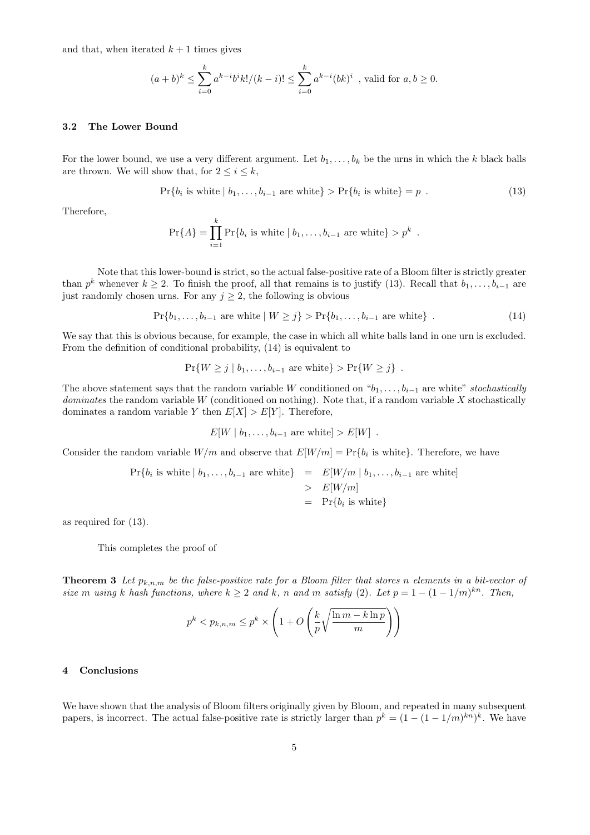and that, when iterated  $k + 1$  times gives

$$
(a+b)^k \le \sum_{i=0}^k a^{k-i}b^ik!/(k-i)! \le \sum_{i=0}^k a^{k-i}(bk)^i
$$
, valid for  $a, b \ge 0$ .

#### 3.2 The Lower Bound

For the lower bound, we use a very different argument. Let  $b_1, \ldots, b_k$  be the urns in which the k black balls are thrown. We will show that, for  $2 \leq i \leq k$ ,

$$
Pr{bi is white | b1,...,bi-1 are white} > Pr{bi is white} = p .
$$
 (13)

Therefore,

$$
Pr{A} = \prod_{i=1}^{k} Pr{b_i
$$
 is white  $| b_1,...,b_{i-1}$  are white $> p^k$ .

Note that this lower-bound is strict, so the actual false-positive rate of a Bloom filter is strictly greater than  $p^k$  whenever  $k \geq 2$ . To finish the proof, all that remains is to justify (13). Recall that  $b_1, \ldots, b_{i-1}$  are just randomly chosen urns. For any  $j \geq 2$ , the following is obvious

$$
Pr{b_1, ..., b_{i-1} \text{ are white} \mid W \geq j} > Pr{b_1, ..., b_{i-1} \text{ are white}} \tag{14}
$$

We say that this is obvious because, for example, the case in which all white balls land in one urn is excluded. From the definition of conditional probability, (14) is equivalent to

$$
\Pr\{W \geq j \mid b_1, \ldots, b_{i-1} \text{ are white}\} > \Pr\{W \geq j\} .
$$

The above statement says that the random variable W conditioned on " $b_1, \ldots, b_{i-1}$  are white" stochastically dominates the random variable W (conditioned on nothing). Note that, if a random variable X stochastically dominates a random variable Y then  $E[X] > E[Y]$ . Therefore,

$$
E[W | b_1, \ldots, b_{i-1} \text{ are white}] > E[W] .
$$

Consider the random variable  $W/m$  and observe that  $E[W/m] = Pr\{b_i \text{ is white}\}.$  Therefore, we have

$$
\Pr\{b_i \text{ is white} \mid b_1, \dots, b_{i-1} \text{ are white}\} = E[W/m \mid b_1, \dots, b_{i-1} \text{ are white}]
$$
  
> 
$$
E[W/m]
$$
  
= 
$$
\Pr\{b_i \text{ is white}\}
$$

as required for (13).

This completes the proof of

**Theorem 3** Let  $p_{k,n,m}$  be the false-positive rate for a Bloom filter that stores n elements in a bit-vector of size m using k hash functions, where  $k \geq 2$  and k, n and m satisfy (2). Let  $p = 1 - (1 - 1/m)^{kn}$ . Then,

$$
p^k < p_{k,n,m} \le p^k \times \left(1 + O\left(\frac{k}{p}\sqrt{\frac{\ln m - k\ln p}{m}}\right)\right)
$$

## 4 Conclusions

We have shown that the analysis of Bloom filters originally given by Bloom, and repeated in many subsequent papers, is incorrect. The actual false-positive rate is strictly larger than  $p^k = (1 - (1 - 1/m)^{kn})^k$ . We have